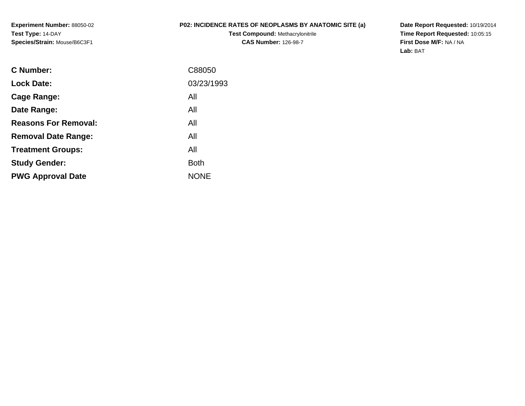**Experiment Number:** 88050-02**Test Type:** 14-DAY**Species/Strain:** Mouse/B6C3F1

## **P02: INCIDENCE RATES OF NEOPLASMS BY ANATOMIC SITE (a)**

**Test Compound:** Methacrylonitrile**CAS Number:** 126-98-7

**Date Report Requested:** 10/19/2014 **Time Report Requested:** 10:05:15**First Dose M/F:** NA / NA**Lab:** BAT

| C Number:                   | C88050      |
|-----------------------------|-------------|
| <b>Lock Date:</b>           | 03/23/1993  |
| Cage Range:                 | All         |
| Date Range:                 | All         |
| <b>Reasons For Removal:</b> | All         |
| <b>Removal Date Range:</b>  | All         |
| <b>Treatment Groups:</b>    | All         |
| <b>Study Gender:</b>        | <b>Both</b> |
| <b>PWG Approval Date</b>    | <b>NONE</b> |
|                             |             |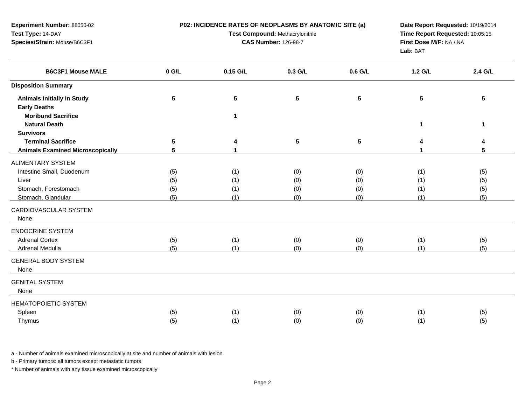| Experiment Number: 88050-02<br>Test Type: 14-DAY<br>Species/Strain: Mouse/B6C3F1         |                          | P02: INCIDENCE RATES OF NEOPLASMS BY ANATOMIC SITE (a)<br>Test Compound: Methacrylonitrile<br><b>CAS Number: 126-98-7</b> |                          |                          |                          | Date Report Requested: 10/19/2014<br>Time Report Requested: 10:05:15<br>First Dose M/F: NA / NA |
|------------------------------------------------------------------------------------------|--------------------------|---------------------------------------------------------------------------------------------------------------------------|--------------------------|--------------------------|--------------------------|-------------------------------------------------------------------------------------------------|
| <b>B6C3F1 Mouse MALE</b>                                                                 | $0$ G/L                  | 0.15 G/L                                                                                                                  | 0.3 G/L                  | 0.6 G/L                  | 1.2 G/L                  | 2.4 G/L                                                                                         |
| <b>Disposition Summary</b>                                                               |                          |                                                                                                                           |                          |                          |                          |                                                                                                 |
| <b>Animals Initially In Study</b><br><b>Early Deaths</b><br><b>Moribund Sacrifice</b>    | 5                        | $\overline{\mathbf{5}}$<br>$\blacktriangleleft$                                                                           | $5\phantom{a}$           | $5\phantom{a}$           | $5\phantom{.0}$          | 5                                                                                               |
| <b>Natural Death</b>                                                                     |                          |                                                                                                                           |                          |                          | 1                        | 1                                                                                               |
| <b>Survivors</b><br><b>Terminal Sacrifice</b><br><b>Animals Examined Microscopically</b> | 5<br>5                   | 4<br>1                                                                                                                    | 5                        | 5                        | 4<br>1                   | 4<br>5                                                                                          |
| ALIMENTARY SYSTEM                                                                        |                          |                                                                                                                           |                          |                          |                          |                                                                                                 |
| Intestine Small, Duodenum<br>Liver<br>Stomach, Forestomach<br>Stomach, Glandular         | (5)<br>(5)<br>(5)<br>(5) | (1)<br>(1)<br>(1)<br>(1)                                                                                                  | (0)<br>(0)<br>(0)<br>(0) | (0)<br>(0)<br>(0)<br>(0) | (1)<br>(1)<br>(1)<br>(1) | (5)<br>(5)<br>(5)<br>(5)                                                                        |
| CARDIOVASCULAR SYSTEM<br>None                                                            |                          |                                                                                                                           |                          |                          |                          |                                                                                                 |
| <b>ENDOCRINE SYSTEM</b><br><b>Adrenal Cortex</b><br>Adrenal Medulla                      | (5)<br>(5)               | (1)<br>(1)                                                                                                                | (0)<br>(0)               | (0)<br>(0)               | (1)<br>(1)               | (5)<br>(5)                                                                                      |
| <b>GENERAL BODY SYSTEM</b><br>None                                                       |                          |                                                                                                                           |                          |                          |                          |                                                                                                 |
| <b>GENITAL SYSTEM</b><br>None                                                            |                          |                                                                                                                           |                          |                          |                          |                                                                                                 |
| <b>HEMATOPOIETIC SYSTEM</b><br>Spleen<br>Thymus                                          | (5)<br>(5)               | (1)<br>(1)                                                                                                                | (0)<br>(0)               | (0)<br>(0)               | (1)<br>(1)               | (5)<br>(5)                                                                                      |

b - Primary tumors: all tumors except metastatic tumors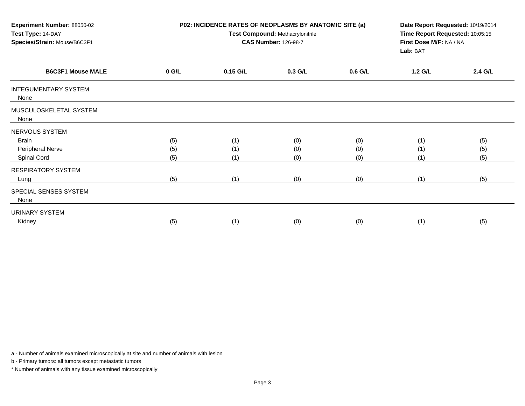| Experiment Number: 88050-02<br>Test Type: 14-DAY<br>Species/Strain: Mouse/B6C3F1 | P02: INCIDENCE RATES OF NEOPLASMS BY ANATOMIC SITE (a)<br>Test Compound: Methacrylonitrile<br><b>CAS Number: 126-98-7</b> |            |           | Date Report Requested: 10/19/2014<br>Time Report Requested: 10:05:15<br>First Dose M/F: NA / NA<br>Lab: BAT |         |         |
|----------------------------------------------------------------------------------|---------------------------------------------------------------------------------------------------------------------------|------------|-----------|-------------------------------------------------------------------------------------------------------------|---------|---------|
| <b>B6C3F1 Mouse MALE</b>                                                         | $0$ G/L                                                                                                                   | $0.15$ G/L | $0.3$ G/L | 0.6 G/L                                                                                                     | 1.2 G/L | 2.4 G/L |
| <b>INTEGUMENTARY SYSTEM</b><br>None                                              |                                                                                                                           |            |           |                                                                                                             |         |         |
| MUSCULOSKELETAL SYSTEM<br>None                                                   |                                                                                                                           |            |           |                                                                                                             |         |         |
| NERVOUS SYSTEM                                                                   |                                                                                                                           |            |           |                                                                                                             |         |         |
| <b>Brain</b>                                                                     | (5)                                                                                                                       | (1)        | (0)       | (0)                                                                                                         | (1)     | (5)     |
| Peripheral Nerve                                                                 | (5)                                                                                                                       | (1)        | (0)       | (0)                                                                                                         | (1)     | (5)     |
| Spinal Cord                                                                      | (5)                                                                                                                       | (1)        | (0)       | (0)                                                                                                         | (1)     | (5)     |
| RESPIRATORY SYSTEM                                                               |                                                                                                                           |            |           |                                                                                                             |         |         |
| Lung                                                                             | (5)                                                                                                                       | (1)        | (0)       | (0)                                                                                                         | (1)     | (5)     |
| SPECIAL SENSES SYSTEM<br>None                                                    |                                                                                                                           |            |           |                                                                                                             |         |         |
| <b>URINARY SYSTEM</b>                                                            |                                                                                                                           |            |           |                                                                                                             |         |         |
| Kidney                                                                           | (5)                                                                                                                       | (1)        | (0)       | (0)                                                                                                         | (1)     | (5)     |

b - Primary tumors: all tumors except metastatic tumors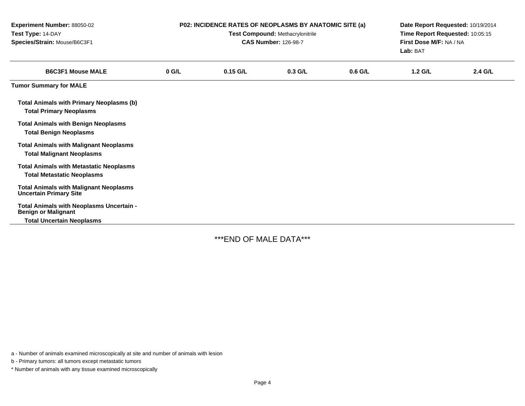| Experiment Number: 88050-02<br>Test Type: 14-DAY<br>Species/Strain: Mouse/B6C3F1                           | P02: INCIDENCE RATES OF NEOPLASMS BY ANATOMIC SITE (a)<br>Test Compound: Methacrylonitrile<br><b>CAS Number: 126-98-7</b> |            |           |           | Date Report Requested: 10/19/2014<br>Time Report Requested: 10:05:15<br>First Dose M/F: NA / NA<br>Lab: BAT |         |  |
|------------------------------------------------------------------------------------------------------------|---------------------------------------------------------------------------------------------------------------------------|------------|-----------|-----------|-------------------------------------------------------------------------------------------------------------|---------|--|
| <b>B6C3F1 Mouse MALE</b>                                                                                   | $0$ G/L                                                                                                                   | $0.15$ G/L | $0.3$ G/L | $0.6$ G/L | $1.2$ G/L                                                                                                   | 2.4 G/L |  |
| <b>Tumor Summary for MALE</b>                                                                              |                                                                                                                           |            |           |           |                                                                                                             |         |  |
| <b>Total Animals with Primary Neoplasms (b)</b><br><b>Total Primary Neoplasms</b>                          |                                                                                                                           |            |           |           |                                                                                                             |         |  |
| <b>Total Animals with Benign Neoplasms</b><br><b>Total Benign Neoplasms</b>                                |                                                                                                                           |            |           |           |                                                                                                             |         |  |
| <b>Total Animals with Malignant Neoplasms</b><br><b>Total Malignant Neoplasms</b>                          |                                                                                                                           |            |           |           |                                                                                                             |         |  |
| <b>Total Animals with Metastatic Neoplasms</b><br><b>Total Metastatic Neoplasms</b>                        |                                                                                                                           |            |           |           |                                                                                                             |         |  |
| <b>Total Animals with Malignant Neoplasms</b><br><b>Uncertain Primary Site</b>                             |                                                                                                                           |            |           |           |                                                                                                             |         |  |
| Total Animals with Neoplasms Uncertain -<br><b>Benign or Malignant</b><br><b>Total Uncertain Neoplasms</b> |                                                                                                                           |            |           |           |                                                                                                             |         |  |

\*\*\*END OF MALE DATA\*\*\*

a - Number of animals examined microscopically at site and number of animals with lesion

b - Primary tumors: all tumors except metastatic tumors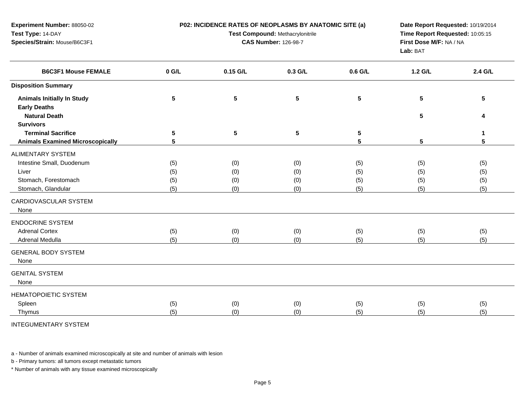| Experiment Number: 88050-02<br>Test Type: 14-DAY<br>Species/Strain: Mouse/B6C3F1 |            | P02: INCIDENCE RATES OF NEOPLASMS BY ANATOMIC SITE (a)<br>Test Compound: Methacrylonitrile<br><b>CAS Number: 126-98-7</b> |                 |                 |                 | Date Report Requested: 10/19/2014<br>Time Report Requested: 10:05:15<br>First Dose M/F: NA / NA<br>Lab: BAT |  |
|----------------------------------------------------------------------------------|------------|---------------------------------------------------------------------------------------------------------------------------|-----------------|-----------------|-----------------|-------------------------------------------------------------------------------------------------------------|--|
| <b>B6C3F1 Mouse FEMALE</b>                                                       | $0$ G/L    | 0.15 G/L                                                                                                                  | 0.3 G/L         | 0.6 G/L         | 1.2 G/L         | 2.4 G/L                                                                                                     |  |
| <b>Disposition Summary</b>                                                       |            |                                                                                                                           |                 |                 |                 |                                                                                                             |  |
| <b>Animals Initially In Study</b>                                                | $\sqrt{5}$ | 5                                                                                                                         | $5\phantom{a}$  | $5\phantom{.0}$ | 5               | 5                                                                                                           |  |
| <b>Early Deaths</b>                                                              |            |                                                                                                                           |                 |                 |                 |                                                                                                             |  |
| <b>Natural Death</b><br><b>Survivors</b>                                         |            |                                                                                                                           |                 |                 | $5\phantom{.0}$ | 4                                                                                                           |  |
| <b>Terminal Sacrifice</b>                                                        | 5          | $5\phantom{.0}$                                                                                                           | $5\phantom{.0}$ | 5               |                 | 1                                                                                                           |  |
| <b>Animals Examined Microscopically</b>                                          | 5          |                                                                                                                           |                 | 5               | 5               | 5                                                                                                           |  |
| <b>ALIMENTARY SYSTEM</b>                                                         |            |                                                                                                                           |                 |                 |                 |                                                                                                             |  |
| Intestine Small, Duodenum                                                        | (5)        | (0)                                                                                                                       | (0)             | (5)             | (5)             | (5)                                                                                                         |  |
| Liver                                                                            | (5)        | (0)                                                                                                                       | (0)             | (5)             | (5)             | (5)                                                                                                         |  |
| Stomach, Forestomach                                                             | (5)        | (0)                                                                                                                       | (0)             | (5)             | (5)             | (5)                                                                                                         |  |
| Stomach, Glandular                                                               | (5)        | (0)                                                                                                                       | (0)             | (5)             | (5)             | (5)                                                                                                         |  |
| CARDIOVASCULAR SYSTEM<br>None                                                    |            |                                                                                                                           |                 |                 |                 |                                                                                                             |  |
| <b>ENDOCRINE SYSTEM</b>                                                          |            |                                                                                                                           |                 |                 |                 |                                                                                                             |  |
| <b>Adrenal Cortex</b>                                                            | (5)        | (0)                                                                                                                       | (0)             | (5)             | (5)             | (5)                                                                                                         |  |
| Adrenal Medulla                                                                  | (5)        | (0)                                                                                                                       | (0)             | (5)             | (5)             | (5)                                                                                                         |  |
| <b>GENERAL BODY SYSTEM</b><br>None                                               |            |                                                                                                                           |                 |                 |                 |                                                                                                             |  |
| <b>GENITAL SYSTEM</b><br>None                                                    |            |                                                                                                                           |                 |                 |                 |                                                                                                             |  |
| HEMATOPOIETIC SYSTEM                                                             |            |                                                                                                                           |                 |                 |                 |                                                                                                             |  |
| Spleen                                                                           | (5)        | (0)                                                                                                                       | (0)             | (5)             | (5)             | (5)                                                                                                         |  |
| Thymus                                                                           | (5)        | (0)                                                                                                                       | (0)             | (5)             | (5)             | (5)                                                                                                         |  |
| <b>INTEGUMENTARY SYSTEM</b>                                                      |            |                                                                                                                           |                 |                 |                 |                                                                                                             |  |

b - Primary tumors: all tumors except metastatic tumors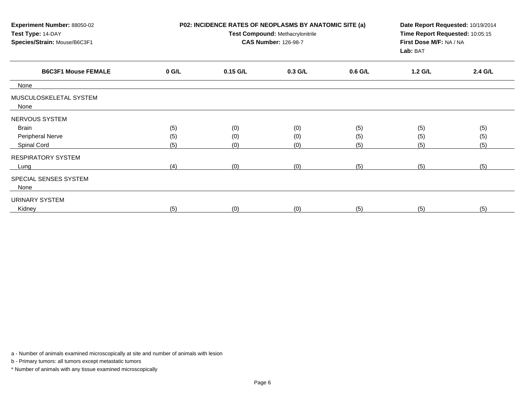| Experiment Number: 88050-02<br>Test Type: 14-DAY<br>Species/Strain: Mouse/B6C3F1 |         | P02: INCIDENCE RATES OF NEOPLASMS BY ANATOMIC SITE (a)<br>Test Compound: Methacrylonitrile<br><b>CAS Number: 126-98-7</b><br>Lab: BAT |         |           | Date Report Requested: 10/19/2014<br>Time Report Requested: 10:05:15<br>First Dose M/F: NA / NA |         |  |
|----------------------------------------------------------------------------------|---------|---------------------------------------------------------------------------------------------------------------------------------------|---------|-----------|-------------------------------------------------------------------------------------------------|---------|--|
| <b>B6C3F1 Mouse FEMALE</b>                                                       | $0$ G/L | $0.15$ G/L                                                                                                                            | 0.3 G/L | $0.6$ G/L | 1.2 G/L                                                                                         | 2.4 G/L |  |
| None                                                                             |         |                                                                                                                                       |         |           |                                                                                                 |         |  |
| MUSCULOSKELETAL SYSTEM<br>None                                                   |         |                                                                                                                                       |         |           |                                                                                                 |         |  |
| NERVOUS SYSTEM                                                                   |         |                                                                                                                                       |         |           |                                                                                                 |         |  |
| <b>Brain</b>                                                                     | (5)     | (0)                                                                                                                                   | (0)     | (5)       | (5)                                                                                             | (5)     |  |
| Peripheral Nerve                                                                 | (5)     | (0)                                                                                                                                   | (0)     | (5)       | (5)                                                                                             | (5)     |  |
| Spinal Cord                                                                      | (5)     | (0)                                                                                                                                   | (0)     | (5)       | (5)                                                                                             | (5)     |  |
| <b>RESPIRATORY SYSTEM</b>                                                        |         |                                                                                                                                       |         |           |                                                                                                 |         |  |
| Lung                                                                             | (4)     | (0)                                                                                                                                   | (0)     | (5)       | (5)                                                                                             | (5)     |  |
| SPECIAL SENSES SYSTEM<br>None                                                    |         |                                                                                                                                       |         |           |                                                                                                 |         |  |
| URINARY SYSTEM                                                                   |         |                                                                                                                                       |         |           |                                                                                                 |         |  |
| Kidney                                                                           | (5)     | (0)                                                                                                                                   | (0)     | (5)       | (5)                                                                                             | (5)     |  |

b - Primary tumors: all tumors except metastatic tumors